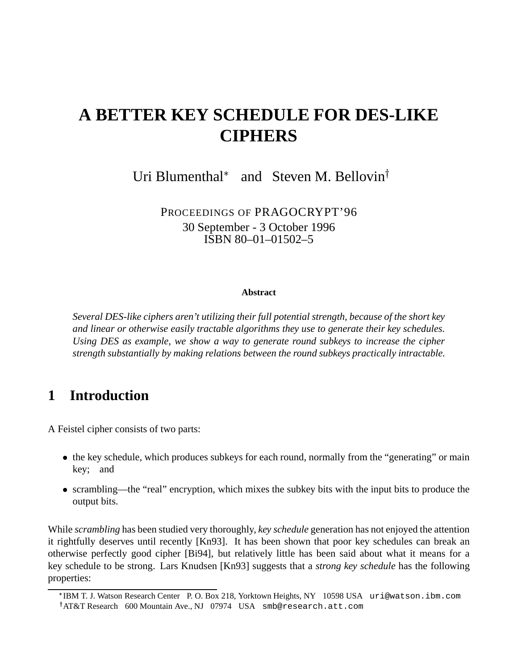# **A BETTER KEY SCHEDULE FOR DES-LIKE CIPHERS**

Uri Blumenthal<sup>\*</sup> and Steven M. Bellovin<sup>†</sup>

PROCEEDINGS OF PRAGOCRYPT'96 30 September - 3 October 1996 ISBN 80–01–01502–5

#### **Abstract**

*Several DES-like ciphers aren't utilizing their full potential strength, because of the short key and linear or otherwise easily tractable algorithms they use to generate their key schedules. Using DES as example, we show a way to generate round subkeys to increase the cipher strength substantially by making relations between the round subkeys practically intractable.*

### **1 Introduction**

A Feistel cipher consists of two parts:

- the key schedule, which produces subkeys for each round, normally from the "generating" or main key; and
- scrambling—the "real" encryption, which mixes the subkey bits with the input bits to produce the output bits.

While *scrambling* has been studied very thoroughly, *key schedule* generation has not enjoyed the attention it rightfully deserves until recently [Kn93]. It has been shown that poor key schedules can break an otherwise perfectly good cipher [Bi94], but relatively little has been said about what it means for a key schedule to be strong. Lars Knudsen [Kn93] suggests that a *strong key schedule* has the following properties:

IBM T. J. Watson Research Center P. O. Box 218, Yorktown Heights, NY 10598 USA uri@watson.ibm.com

AT&T Research 600 Mountain Ave., NJ 07974 USA smb@research.att.com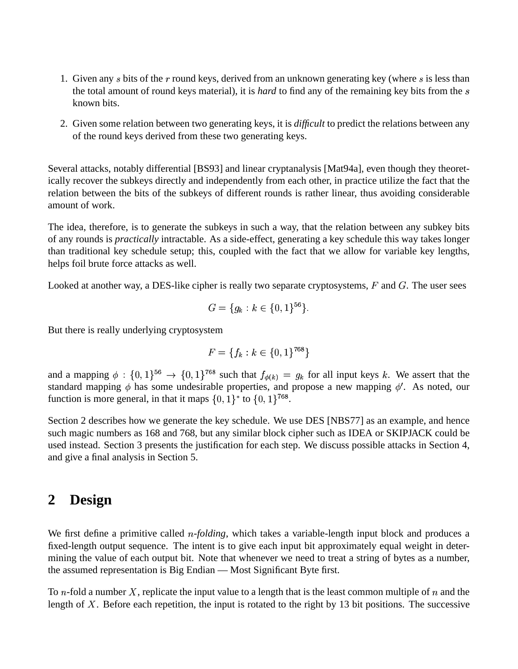- 1. Given any  $s$  bits of the  $r$  round keys, derived from an unknown generating key (where  $s$  is less than the total amount of round keys material), it is *hard* to find any of the remaining key bits from the known bits.
- 2. Given some relation between two generating keys, it is *difficult* to predict the relations between any of the round keys derived from these two generating keys.

Several attacks, notably differential [BS93] and linear cryptanalysis [Mat94a], even though they theoretically recover the subkeys directly and independently from each other, in practice utilize the fact that the relation between the bits of the subkeys of different rounds is rather linear, thus avoiding considerable amount of work.

The idea, therefore, is to generate the subkeys in such a way, that the relation between any subkey bits of any rounds is *practically* intractable. As a side-effect, generating a key schedule this way takes longer than traditional key schedule setup; this, coupled with the fact that we allow for variable key lengths, helps foil brute force attacks as well.

Looked at another way, a DES-like cipher is really two separate cryptosystems,  $F$  and  $G$ . The user sees

$$
G = \{g_k : k \in \{0, 1\}^{56}\}.
$$

But there is really underlying cryptosystem

$$
F = \{f_k : k \in \{0, 1\}^{768}\}
$$

and a mapping  $\phi: \{0,1\}^{56} \to \{0,1\}^{768}$  such that  $f_{\phi(k)} = g_k$  for all input keys k. We assert that the standard mapping  $\phi$  has some undesirable properties, and propose a new mapping  $\phi'$ . As noted, our function is more general, in that it maps  $\{0, 1\}^*$  to  $\{0, 1\}^{768}$ .

Section 2 describes how we generate the key schedule. We use DES [NBS77] as an example, and hence such magic numbers as 168 and 768, but any similar block cipher such as IDEA or SKIPJACK could be used instead. Section 3 presents the justification for each step. We discuss possible attacks in Section 4, and give a final analysis in Section 5.

### **2 Design**

We first define a primitive called *n-folding*, which takes a variable-length input block and produces a fixed-length output sequence. The intent is to give each input bit approximately equal weight in determining the value of each output bit. Note that whenever we need to treat a string of bytes as a number, the assumed representation is Big Endian — Most Significant Byte first.

To n-fold a number X, replicate the input value to a length that is the least common multiple of  $n$  and the length of  $X$ . Before each repetition, the input is rotated to the right by 13 bit positions. The successive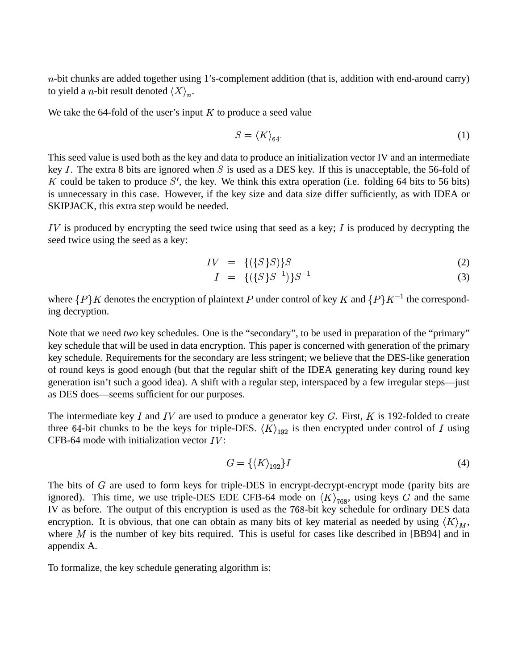$n$ -bit chunks are added together using 1's-complement addition (that is, addition with end-around carry) to yield a *n*-bit result denoted  $\langle X \rangle_n$ .

We take the 64-fold of the user's input  $K$  to produce a seed value

$$
S = \langle K \rangle_{64}.\tag{1}
$$

This seed value is used both as the key and data to produce an initialization vector IV and an intermediate key *I*. The extra 8 bits are ignored when *S* is used as a DES key. If this is unacceptable, the 56-fold of K could be taken to produce S', the key. We think this extra operation (i.e. folding 64 bits to 56 bits) is unnecessary in this case. However, if the key size and data size differ sufficiently, as with IDEA or SKIPJACK, this extra step would be needed.

 $IV$  is produced by encrypting the seed twice using that seed as a key;  $I$  is produced by decrypting the seed twice using the seed as a key:

$$
IV = \{(\{S\}S)\}S \tag{2}
$$

$$
I = \{ (\{S\}S^{-1})\}S^{-1} \tag{3}
$$

where  $\{P\}K$  denotes the encryption of plaintext P under control of key K and  $\{P\}K^{-1}$  the corresponding decryption.

Note that we need *two* key schedules. One is the "secondary", to be used in preparation of the "primary" key schedule that will be used in data encryption. This paper is concerned with generation of the primary key schedule. Requirements for the secondary are less stringent; we believe that the DES-like generation of round keys is good enough (but that the regular shift of the IDEA generating key during round key generation isn't such a good idea). A shift with a regular step, interspaced by a few irregular steps—just as DES does—seems sufficient for our purposes.

The intermediate key I and IV are used to produce a generator key G. First, K is 192-folded to create three 64-bit chunks to be the keys for triple-DES.  $\langle K \rangle_{192}$  is then encrypted under control of I using CFB-64 mode with initialization vector  $IV$ :

$$
G = \{ \langle K \rangle_{192} \} I \tag{4}
$$

The bits of  $G$  are used to form keys for triple-DES in encrypt-decrypt-encrypt mode (parity bits are ignored). This time, we use triple-DES EDE CFB-64 mode on  $\langle K \rangle_{768}$ , using keys G and the same IV as before. The output of this encryption is used as the 768-bit key schedule for ordinary DES data encryption. It is obvious, that one can obtain as many bits of key material as needed by using  $\langle K \rangle_{\scriptscriptstyle M}$ , where  $M$  is the number of key bits required. This is useful for cases like described in [BB94] and in appendix A.

To formalize, the key schedule generating algorithm is: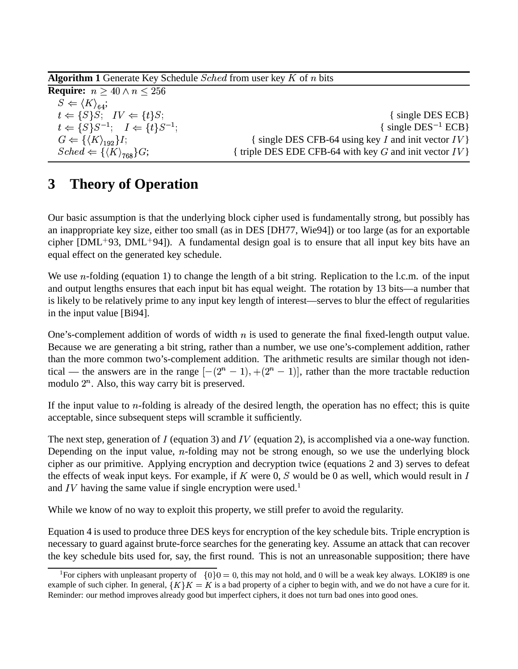**Algorithm 1** Generate Key Schedule  $Sched$  from user key  $K$  of  $n$  bits

**Require:**  $n \geq 40 \land n \leq 256$  $\sim$ rei and a state of the state of the state of the state of the state of the state of the state of the state of  $S \Leftarrow \langle K \rangle_{64};$  $\{S\}S: IV \Leftarrow \{t\}S$  $\{ \text{ single DES ECB} \}$ s <sup>q</sup>  $\{S\}S^{-1}$ ;  $I \Leftarrow \{t\}S^{-1}$ ; { single  $DES^{-1} ECB$ }  $G \Leftarrow \{\langle K \rangle_{102}\}I$ { single DES CFB-64 using key I and init vector  $IV$ } FPcve;fgwq $\cdots$ { triple DES EDE CFB-64 with key  $G$  and init vector  $IV$  }

# **3 Theory of Operation**

Our basic assumption is that the underlying block cipher used is fundamentally strong, but possibly has an inappropriate key size, either too small (as in DES [DH77, Wie94]) or too large (as for an exportable cipher [DML<sup>+93</sup>, DML<sup>+94</sup>]). A fundamental design goal is to ensure that all input key bits have an equal effect on the generated key schedule.

We use  $n$ -folding (equation 1) to change the length of a bit string. Replication to the l.c.m. of the input and output lengths ensures that each input bit has equal weight. The rotation by 13 bits—a number that is likely to be relatively prime to any input key length of interest—serves to blur the effect of regularities in the input value [Bi94].

One's-complement addition of words of width  $n$  is used to generate the final fixed-length output value. Because we are generating a bit string, rather than a number, we use one's-complement addition, rather than the more common two's-complement addition. The arithmetic results are similar though not identical — the answers are in the range  $[-(2^{n} - 1), +(2^{n} - 1)]$ , rather than the more tractable reduction modulo  $2^n$ . Also, this way carry bit is preserved.

If the input value to  $n$ -folding is already of the desired length, the operation has no effect; this is quite acceptable, since subsequent steps will scramble it sufficiently.

The next step, generation of I (equation 3) and IV (equation 2), is accomplished via a one-way function. Depending on the input value,  $n$ -folding may not be strong enough, so we use the underlying block cipher as our primitive. Applying encryption and decryption twice (equations 2 and 3) serves to defeat the effects of weak input keys. For example, if K were 0, S would be 0 as well, which would result in I and IV having the same value if single encryption were used.<sup>1</sup>

While we know of no way to exploit this property, we still prefer to avoid the regularity.

Equation 4 is used to produce three DES keys for encryption of the key schedule bits. Triple encryption is necessary to guard against brute-force searches for the generating key. Assume an attack that can recover the key schedule bits used for, say, the first round. This is not an unreasonable supposition; there have

<sup>&</sup>lt;sup>1</sup>For ciphers with unpleasant property of  $\{0\}0 = 0$ , this may not hold, and 0 will be a weak key always. LOKI89 is one example of such cipher. In general,  $\{K\}K = K$  is a bad property of a cipher to begin with, and we do not have a cure for it. Reminder: our method improves already good but imperfect ciphers, it does not turn bad ones into good ones.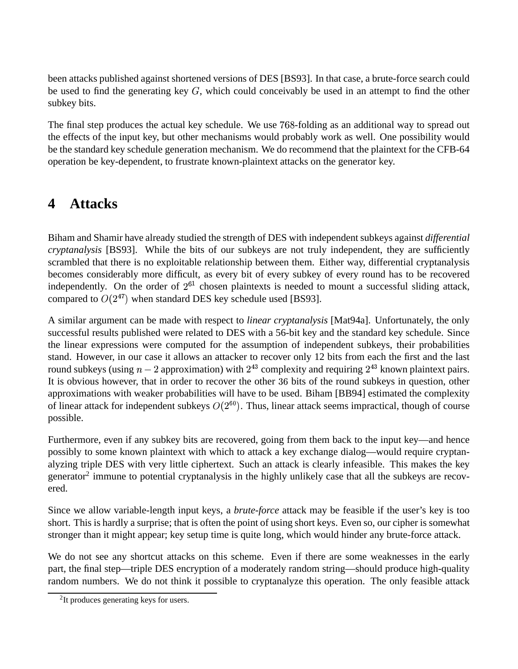been attacks published against shortened versions of DES [BS93]. In that case, a brute-force search could be used to find the generating key  $G$ , which could conceivably be used in an attempt to find the other subkey bits.

The final step produces the actual key schedule. We use 768-folding as an additional way to spread out the effects of the input key, but other mechanisms would probably work as well. One possibility would be the standard key schedule generation mechanism. We do recommend that the plaintext for the CFB-64 operation be key-dependent, to frustrate known-plaintext attacks on the generator key.

# **4 Attacks**

Biham and Shamir have already studied the strength of DES with independentsubkeys against *differential cryptanalysis* [BS93]. While the bits of our subkeys are not truly independent, they are sufficiently scrambled that there is no exploitable relationship between them. Either way, differential cryptanalysis becomes considerably more difficult, as every bit of every subkey of every round has to be recovered independently. On the order of  $2^{61}$  chosen plaintexts is needed to mount a successful sliding attack, compared to  $O(2^{47})$  when standard DES key schedule used [BS93].

A similar argument can be made with respect to *linear cryptanalysis* [Mat94a]. Unfortunately, the only successful results published were related to DES with a 56-bit key and the standard key schedule. Since the linear expressions were computed for the assumption of independent subkeys, their probabilities stand. However, in our case it allows an attacker to recover only 12 bits from each the first and the last round subkeys (using  $n-2$  approximation) with  $2^{43}$  complexity and requiring  $2^{43}$  known plaintext pairs. It is obvious however, that in order to recover the other 36 bits of the round subkeys in question, other approximations with weaker probabilities will have to be used. Biham [BB94] estimated the complexity of linear attack for independent subkeys  $O(2^{60})$ . Thus, linear attack seems impractical, though of course possible.

Furthermore, even if any subkey bits are recovered, going from them back to the input key—and hence possibly to some known plaintext with which to attack a key exchange dialog—would require cryptanalyzing triple DES with very little ciphertext. Such an attack is clearly infeasible. This makes the key generator<sup>2</sup> immune to potential cryptanalysis in the highly unlikely case that all the subkeys are recovered.

Since we allow variable-length input keys, a *brute-force* attack may be feasible if the user's key is too short. This is hardly a surprise; that is often the point of using short keys. Even so, our cipher is somewhat stronger than it might appear; key setup time is quite long, which would hinder any brute-force attack.

We do not see any shortcut attacks on this scheme. Even if there are some weaknesses in the early part, the final step—triple DES encryption of a moderately random string—should produce high-quality random numbers. We do not think it possible to cryptanalyze this operation. The only feasible attack

<sup>&</sup>lt;sup>2</sup>It produces generating keys for users.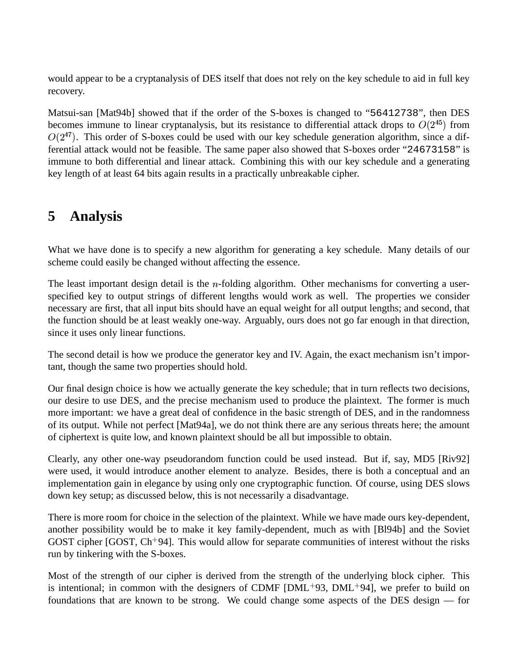would appear to be a cryptanalysis of DES itself that does not rely on the key schedule to aid in full key recovery.

Matsui-san [Mat94b] showed that if the order of the S-boxes is changed to "56412738", then DES becomes immune to linear cryptanalysis, but its resistance to differential attack drops to  $O(2^{45})$  from  $O(2^{47})$ . This order of S-boxes could be used with our key schedule generation algorithm, since a differential attack would not be feasible. The same paper also showed that S-boxes order "24673158" is immune to both differential and linear attack. Combining this with our key schedule and a generating key length of at least 64 bits again results in a practically unbreakable cipher.

# **5 Analysis**

What we have done is to specify a new algorithm for generating a key schedule. Many details of our scheme could easily be changed without affecting the essence.

The least important design detail is the  $n$ -folding algorithm. Other mechanisms for converting a userspecified key to output strings of different lengths would work as well. The properties we consider necessary are first, that all input bits should have an equal weight for all output lengths; and second, that the function should be at least weakly one-way. Arguably, ours does not go far enough in that direction, since it uses only linear functions.

The second detail is how we produce the generator key and IV. Again, the exact mechanism isn't important, though the same two properties should hold.

Our final design choice is how we actually generate the key schedule; that in turn reflects two decisions, our desire to use DES, and the precise mechanism used to produce the plaintext. The former is much more important: we have a great deal of confidence in the basic strength of DES, and in the randomness of its output. While not perfect [Mat94a], we do not think there are any serious threats here; the amount of ciphertext is quite low, and known plaintext should be all but impossible to obtain.

Clearly, any other one-way pseudorandom function could be used instead. But if, say, MD5 [Riv92] were used, it would introduce another element to analyze. Besides, there is both a conceptual and an implementation gain in elegance by using only one cryptographic function. Of course, using DES slows down key setup; as discussed below, this is not necessarily a disadvantage.

There is more room for choice in the selection of the plaintext. While we have made ours key-dependent, another possibility would be to make it key family-dependent, much as with [Bl94b] and the Soviet GOST cipher  $[GOST, Ch^+94]$ . This would allow for separate communities of interest without the risks run by tinkering with the S-boxes.

Most of the strength of our cipher is derived from the strength of the underlying block cipher. This is intentional; in common with the designers of CDMF  $[DML<sup>+</sup>93, DML<sup>+</sup>94]$ , we prefer to build on foundations that are known to be strong. We could change some aspects of the DES design — for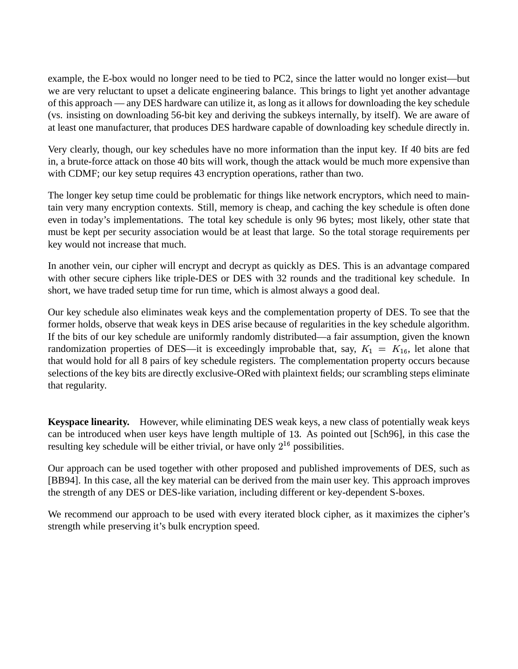example, the E-box would no longer need to be tied to PC2, since the latter would no longer exist—but we are very reluctant to upset a delicate engineering balance. This brings to light yet another advantage of this approach — any DES hardware can utilize it, as long as it allowsfor downloading the key schedule (vs. insisting on downloading 56-bit key and deriving the subkeys internally, by itself). We are aware of at least one manufacturer, that produces DES hardware capable of downloading key schedule directly in.

Very clearly, though, our key schedules have no more information than the input key. If 40 bits are fed in, a brute-force attack on those 40 bits will work, though the attack would be much more expensive than with CDMF; our key setup requires 43 encryption operations, rather than two.

The longer key setup time could be problematic for things like network encryptors, which need to maintain very many encryption contexts. Still, memory is cheap, and caching the key schedule is often done even in today's implementations. The total key schedule is only 96 bytes; most likely, other state that must be kept per security association would be at least that large. So the total storage requirements per key would not increase that much.

In another vein, our cipher will encrypt and decrypt as quickly as DES. This is an advantage compared with other secure ciphers like triple-DES or DES with 32 rounds and the traditional key schedule. In short, we have traded setup time for run time, which is almost always a good deal.

Our key schedule also eliminates weak keys and the complementation property of DES. To see that the former holds, observe that weak keys in DES arise because of regularities in the key schedule algorithm. If the bits of our key schedule are uniformly randomly distributed—a fair assumption, given the known randomization properties of DES—it is exceedingly improbable that, say,  $K_1 = K_{16}$ , let alone that that would hold for all 8 pairs of key schedule registers. The complementation property occurs because selections of the key bits are directly exclusive-ORed with plaintext fields; our scrambling steps eliminate that regularity.

**Keyspace linearity.** However, while eliminating DES weak keys, a new class of potentially weak keys can be introduced when user keys have length multiple of 13. As pointed out [Sch96], in this case the resulting key schedule will be either trivial, or have only  $2^{16}$  possib  $6$  possibilities.

Our approach can be used together with other proposed and published improvements of DES, such as [BB94]. In this case, all the key material can be derived from the main user key. This approach improves the strength of any DES or DES-like variation, including different or key-dependent S-boxes.

We recommend our approach to be used with every iterated block cipher, as it maximizes the cipher's strength while preserving it's bulk encryption speed.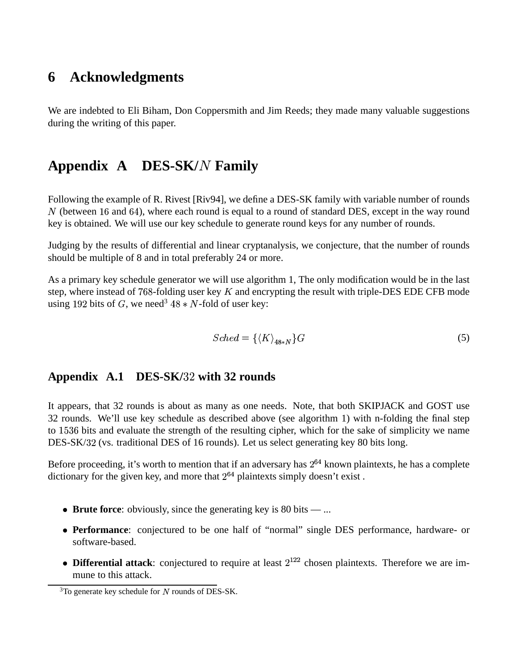## **6 Acknowledgments**

We are indebted to Eli Biham, Don Coppersmith and Jim Reeds; they made many valuable suggestions during the writing of this paper.

# **Appendix A DES-SK/ Family**

Following the example of R. Rivest [Riv94], we define a DES-SK family with variable number of rounds  $N$  (between 16 and 64), where each round is equal to a round of standard DES, except in the way round key is obtained. We will use our key schedule to generate round keys for any number of rounds.

Judging by the results of differential and linear cryptanalysis, we conjecture, that the number of rounds should be multiple of 8 and in total preferably 24 or more.

As a primary key schedule generator we will use algorithm 1, The only modification would be in the last step, where instead of  $768$ -folding user key K and encrypting the result with triple-DES EDE CFB mode using 192 bits of G, we need<sup>3</sup>  $48 * N$ -fold of user key:

$$
Sched = \{ \langle K \rangle_{48*N} \} G \tag{5}
$$

#### **Appendix A.1 DES-SK/ with 32 rounds**

It appears, that 32 rounds is about as many as one needs. Note, that both SKIPJACK and GOST use 32 rounds. We'll use key schedule as described above (see algorithm 1) with n-folding the final step to 1536 bits and evaluate the strength of the resulting cipher, which for the sake of simplicity we name DES-SK/32 (vs. traditional DES of 16 rounds). Let us select generating key 80 bits long.

Before proceeding, it's worth to mention that if an adversary has  $2^{64}$  known plaintexts, he has a complete dictionary for the given key, and more that  $2^{64}$  plaintexts simply doesn't exist.

- **Brute force**: obviously, since the generating key is 80 bits ...
- **Performance**: conjectured to be one half of "normal" single DES performance, hardware- or software-based.
- **Differential attack**: conjectured to require at least  $2^{122}$  chosen plaintexts. Therefore we are immune to this attack.

 $3$ To generate key schedule for N rounds of DES-SK.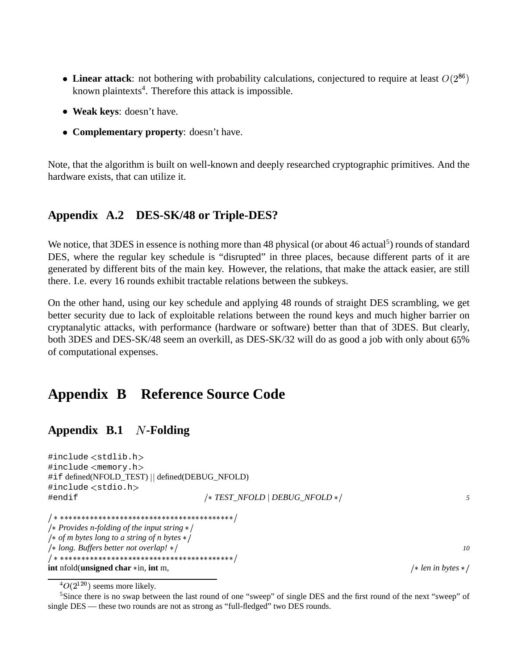- Linear attack: not bothering with probability calculations, conjectured to require at least  $O(2^{86})$ known plaintexts<sup>4</sup>. Therefore this attack is impossible.
- **Weak keys**: doesn't have.
- **Complementary property**: doesn't have.

Note, that the algorithm is built on well-known and deeply researched cryptographic primitives. And the hardware exists, that can utilize it.

### **Appendix A.2 DES-SK/48 or Triple-DES?**

We notice, that 3DES in essence is nothing more than 48 physical (or about 46 actual<sup>5</sup>) rounds of standard DES, where the regular key schedule is "disrupted" in three places, because different parts of it are generated by different bits of the main key. However, the relations, that make the attack easier, are still there. I.e. every 16 rounds exhibit tractable relations between the subkeys.

On the other hand, using our key schedule and applying 48 rounds of straight DES scrambling, we get better security due to lack of exploitable relations between the round keys and much higher barrier on cryptanalytic attacks, with performance (hardware or software) better than that of 3DES. But clearly, both 3DES and DES-SK/48 seem an overkill, as DES-SK/32 will do as good a job with only about  $65\%$ of computational expenses.

### **Appendix B Reference Source Code**

### **Appendix B.1** *N*-Folding

#include <stdlib.h> #include <memory.h> #if defined(NFOLD\_TEST) || defined(DEBUG\_NFOLD) #include <stdio.h> #endif v *TEST\_NFOLD DEBUG\_NFOLD* v *5* v#v##v#v##v#v#~v~#~v~###~v~#~v~###~v~#~v~*x* Provides *n-folding of the input string*  $*/$ v *of m bytes long to a string of n bytes* # v *long. Buffers better not overlap!* # *10* v#v##v#v##v#v#~v~#~v~###~v~#~v~###~v~#~v~**int** nfold(**unsigned char**  $*$ **in, int** m,

 ${}^4O(2^{120})$  seems more likely.

<sup>&</sup>lt;sup>5</sup>Since there is no swap between the last round of one "sweep" of single DES and the first round of the next "sweep" of single DES — these two rounds are not as strong as "full-fledged" two DES rounds.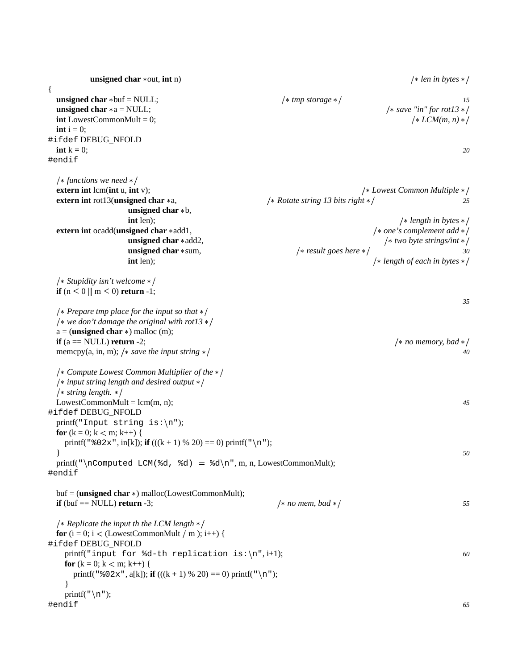**unsigned char** \*out, **int** n)  $\left| \ast \text{ len in bytes } \ast \right|$ { **unsigned char**  $*\text{buf} = \text{NULL}$ ;  $4 \text{tmp storage } *\text{/}$ **unsigned char**  $* a = NULL;$   $/* save "in" for rot13*/$ **int** LowestCommonMult = 0;  $\left| \frac{1}{2} \right| \leq C M(m, n) \leq C M(m, n)$  $\mathbf{int}$  i = 0; #ifdef DEBUG\_NFOLD **int** k = 0; *20* #endif # *functions we need* # **extern int** lcm(**int** u, **int** v); v *l s l s l s l s l s l s l s l s l s l s l s l s l s l s l s l s l s l s l s l s l s l s l s* **extern int** rot13(**unsigned char** \*a,  $\frac{1}{8}$  *k Rotate string 13 bits right* \*/ **unsigned char**  $*$ **b**, **int** len);  $\frac{1}{2}$  *length in bytes*  $\frac{1}{2}$  *length in bytes*  $\frac{1}{2}$ **extern int** ocadd(**unsigned char**  $*$  add1,  $*$  *one's complement add*  $*$ / **unsigned char**  $*$  add2,  $/*$  *two byte strings/int*  $*$ / **unsigned char** \*sum,  $\frac{1}{2}$  /\* *result goes here* \*/ 30 **int** len);  $\frac{1}{2}$  *length of each in bytes*  $\frac{1}{2}$ *|\* Stupidity isn't welcome \*/* **if**  $(n \le 0 \mid m \le 0)$  **return** -1; *35* # *Preparetmp place for the input so that* # # *we don't damage the original with rot13* #  $a = ($ **unsigned char**  $\ast$ ) malloc (m); **if** (a == NULL) **return** -2;  $\left| \begin{array}{c} \ast \text{ no memory, bad} \end{array} \right|$ memcpy(a, in, m); /\* *save the input string*  $*/$  40 */\* Compute Lowest Common Multiplier of the \*/* # *input string length and desired output* # # *string length.* # LowestCommonMult = lcm(m, n); <sup>45</sup> #ifdef DEBUG\_NFOLD printf("Input string is: $\n\pi$ "); **for**  $(k = 0; k < m; k++)$  { printf(" $\& 02x$ ", in[k]); **if** (((k + 1) % 20) == 0) printf("\n"); } *50* printf("\nComputed LCM(%d, %d) = %d\n", m, n, LowestCommonMult); #endif  $buf = (unsigned char *)$  malloc(LowestCommonMult); **if** (buf  $==$  NULL) **return** -3;  $\frac{1}{55}$   $\frac{1}{25}$   $\frac{1}{25}$   $\frac{1}{25}$   $\frac{1}{25}$   $\frac{1}{25}$   $\frac{1}{25}$   $\frac{1}{25}$ # *Replicate the input th the LCM length* # **for**  $(i = 0; i <$  (LowestCommonMult  $/m$ );  $i++)$  { #ifdef DEBUG\_NFOLD printf("input for  $d-th$  replication is: $\n\frac{1}{1}$ ; *60* **for**  $(k = 0; k < m; k++)$  { printf(" $\& 02x$ ", a[k]); **if** (((k + 1) % 20) = 0) printf("\n"); } printf( $"\n\n\infty$ "); #endif *65*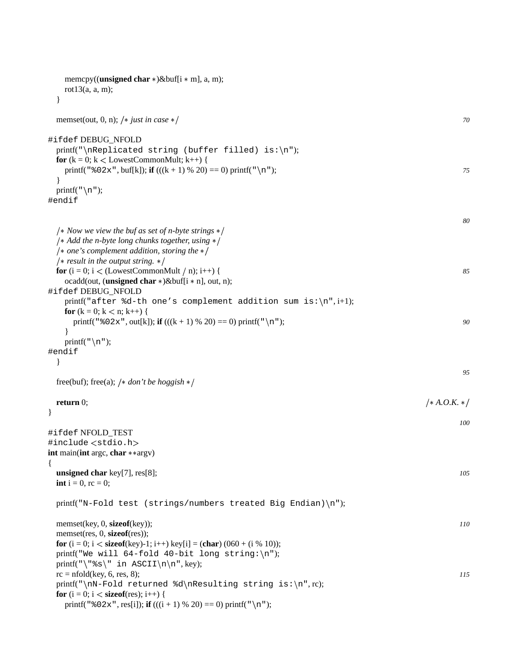| memcpy(( <b>unsigned char</b> $\ast$ )&buf[i $\ast$ m], a, m);<br>rot $13(a, a, m)$ ;                                                                |                |
|------------------------------------------------------------------------------------------------------------------------------------------------------|----------------|
| memset(out, 0, n); /* just in case */                                                                                                                | 70             |
| #ifdef DEBUG_NFOLD                                                                                                                                   |                |
| printf("\nReplicated string (buffer filled) is:\n");<br>for $(k = 0; k <$ LowestCommonMult; $k++$ ) {                                                |                |
| printf(" $802x$ ", buf[k]); if (((k + 1) % 20) = 0) printf("\n");                                                                                    | 75             |
| printf( $"\n\n\cdot$ );                                                                                                                              |                |
| #endif                                                                                                                                               |                |
|                                                                                                                                                      | 80             |
| /* Now we view the buf as set of n-byte strings $*/$<br>/* Add the n-byte long chunks together, using $*/$                                           |                |
| /* one's complement addition, storing the $*/$                                                                                                       |                |
| /* result in the output string. $*/$                                                                                                                 |                |
| for $(i = 0; i <$ (LowestCommonMult / n); i++) {<br>ocadd(out, (unsigned char $*\)$ &buf[i $*$ n], out, n);                                          | 85             |
| #ifdef DEBUG_NFOLD                                                                                                                                   |                |
| printf("after %d-th one's complement addition sum is: $\n\cdot i+1$ );                                                                               |                |
| <b>for</b> $(k = 0; k < n; k++)$ {<br>printf(" $802x$ ", out[k]); if (((k + 1) % 20) = 0) printf("\n");                                              | 90             |
|                                                                                                                                                      |                |
| printf( $"\n\langle n"\rangle$ ;                                                                                                                     |                |
| #endif                                                                                                                                               |                |
|                                                                                                                                                      | 95             |
| free(buf); free(a); /* don't be hoggish */                                                                                                           |                |
| return $0$ ;                                                                                                                                         | $/* A.O.K. */$ |
|                                                                                                                                                      |                |
| #ifdef NFOLD_TEST                                                                                                                                    | 100            |
| #include <stdio.h></stdio.h>                                                                                                                         |                |
| int main(int argc, char ** argv)                                                                                                                     |                |
| $\{$<br>unsigned char $key[7]$ , $res[8]$ ;                                                                                                          | 105            |
| <b>int</b> $i = 0$ , $rc = 0$ ;                                                                                                                      |                |
| printf("N-Fold test (strings/numbers treated Big Endian)\n");                                                                                        |                |
| memset(key, 0, sizeof(key));                                                                                                                         | 110            |
| memset(res, 0, <b>sizeof</b> (res));                                                                                                                 |                |
| <b>for</b> $(i = 0; i <$ <b>size of</b> (key)-1; i++) key[i] = ( <b>char</b> ) (060 + (i % 10));<br>printf("We will 64-fold 40-bit long string:\n"); |                |
| printf("\"%s\" in ASCII\n\n", key);                                                                                                                  |                |
| $rc = nfold(key, 6, res, 8);$                                                                                                                        | 115            |
| printf("\nN-Fold returned %d\nResulting string is:\n", rc);<br><b>for</b> $(i = 0; i <$ <b>size of</b> (res); i++) {                                 |                |
| printf(" $802x$ ", res[i]); if (((i+1) % 20) = 0) printf("\n");                                                                                      |                |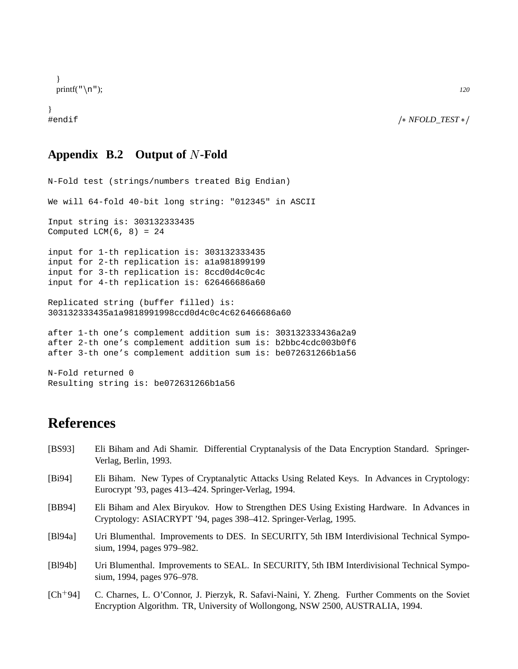```
}
\text{print}(f''\n); 120
```

```
}
```
#endif v *NFOLD\_TEST* #

#### **Appendix B.2 Output of -Fold**

```
N-Fold test (strings/numbers treated Big Endian)
We will 64-fold 40-bit long string: "012345" in ASCII
Input string is: 303132333435
Computed LCM(6, 8) = 24input for 1-th replication is: 303132333435
input for 2-th replication is: a1a981899199
input for 3-th replication is: 8ccd0d4c0c4c
input for 4-th replication is: 626466686a60
Replicated string (buffer filled) is:
303132333435a1a9818991998ccd0d4c0c4c626466686a60
after 1-th one's complement addition sum is: 303132333436a2a9
after 2-th one's complement addition sum is: b2bbc4cdc003b0f6
after 3-th one's complement addition sum is: be072631266b1a56
N-Fold returned 0
```

```
Resulting string is: be072631266b1a56
```
# **References**

| [BS93]      | Eli Biham and Adi Shamir. Differential Cryptanalysis of the Data Encryption Standard. Springer-<br>Verlag, Berlin, 1993.                                       |
|-------------|----------------------------------------------------------------------------------------------------------------------------------------------------------------|
| [Bi94]      | Eli Biham. New Types of Cryptanalytic Attacks Using Related Keys. In Advances in Cryptology:<br>Eurocrypt '93, pages 413–424. Springer-Verlag, 1994.           |
| [BB94]      | Eli Biham and Alex Biryukov. How to Strengthen DES Using Existing Hardware. In Advances in<br>Cryptology: ASIACRYPT '94, pages 398–412. Springer-Verlag, 1995. |
| [ $B194a$ ] | Uri Blumenthal. Improvements to DES. In SECURITY, 5th IBM Interdivisional Technical Sympo-<br>sium, 1994, pages 979–982.                                       |
| [B194b]     | Uri Blumenthal. Improvements to SEAL. In SECURITY, 5th IBM Interdivisional Technical Sympo-<br>sium, 1994, pages 976–978.                                      |
| $[Ch+94]$   | C. Charnes, L. O'Connor, J. Pierzyk, R. Safavi-Naini, Y. Zheng. Further Comments on the Soviet                                                                 |

Encryption Algorithm. TR, University of Wollongong, NSW 2500, AUSTRALIA, 1994.